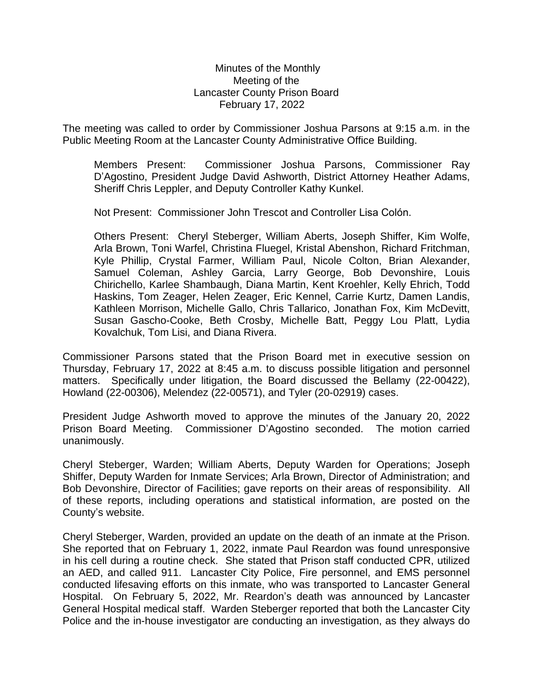## Minutes of the Monthly Meeting of the Lancaster County Prison Board February 17, 2022

The meeting was called to order by Commissioner Joshua Parsons at 9:15 a.m. in the Public Meeting Room at the Lancaster County Administrative Office Building.

Members Present: Commissioner Joshua Parsons, Commissioner Ray D'Agostino, President Judge David Ashworth, District Attorney Heather Adams, Sheriff Chris Leppler, and Deputy Controller Kathy Kunkel.

Not Present: Commissioner John Trescot and Controller Lisa Colón.

Others Present: Cheryl Steberger, William Aberts, Joseph Shiffer, Kim Wolfe, Arla Brown, Toni Warfel, Christina Fluegel, Kristal Abenshon, Richard Fritchman, Kyle Phillip, Crystal Farmer, William Paul, Nicole Colton, Brian Alexander, Samuel Coleman, Ashley Garcia, Larry George, Bob Devonshire, Louis Chirichello, Karlee Shambaugh, Diana Martin, Kent Kroehler, Kelly Ehrich, Todd Haskins, Tom Zeager, Helen Zeager, Eric Kennel, Carrie Kurtz, Damen Landis, Kathleen Morrison, Michelle Gallo, Chris Tallarico, Jonathan Fox, Kim McDevitt, Susan Gascho-Cooke, Beth Crosby, Michelle Batt, Peggy Lou Platt, Lydia Kovalchuk, Tom Lisi, and Diana Rivera.

Commissioner Parsons stated that the Prison Board met in executive session on Thursday, February 17, 2022 at 8:45 a.m. to discuss possible litigation and personnel matters. Specifically under litigation, the Board discussed the Bellamy (22-00422), Howland (22-00306), Melendez (22-00571), and Tyler (20-02919) cases.

President Judge Ashworth moved to approve the minutes of the January 20, 2022 Prison Board Meeting. Commissioner D'Agostino seconded. The motion carried unanimously.

Cheryl Steberger, Warden; William Aberts, Deputy Warden for Operations; Joseph Shiffer, Deputy Warden for Inmate Services; Arla Brown, Director of Administration; and Bob Devonshire, Director of Facilities; gave reports on their areas of responsibility. All of these reports, including operations and statistical information, are posted on the County's website.

Cheryl Steberger, Warden, provided an update on the death of an inmate at the Prison. She reported that on February 1, 2022, inmate Paul Reardon was found unresponsive in his cell during a routine check. She stated that Prison staff conducted CPR, utilized an AED, and called 911. Lancaster City Police, Fire personnel, and EMS personnel conducted lifesaving efforts on this inmate, who was transported to Lancaster General Hospital. On February 5, 2022, Mr. Reardon's death was announced by Lancaster General Hospital medical staff. Warden Steberger reported that both the Lancaster City Police and the in-house investigator are conducting an investigation, as they always do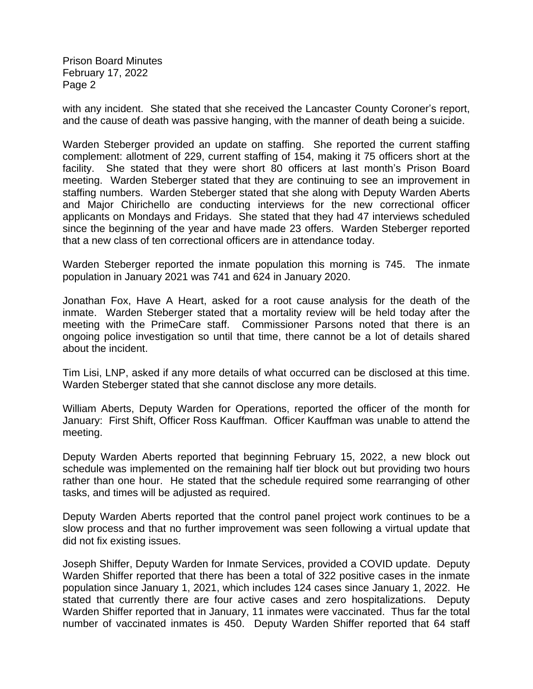with any incident. She stated that she received the Lancaster County Coroner's report, and the cause of death was passive hanging, with the manner of death being a suicide.

Warden Steberger provided an update on staffing. She reported the current staffing complement: allotment of 229, current staffing of 154, making it 75 officers short at the facility. She stated that they were short 80 officers at last month's Prison Board meeting. Warden Steberger stated that they are continuing to see an improvement in staffing numbers. Warden Steberger stated that she along with Deputy Warden Aberts and Major Chirichello are conducting interviews for the new correctional officer applicants on Mondays and Fridays. She stated that they had 47 interviews scheduled since the beginning of the year and have made 23 offers. Warden Steberger reported that a new class of ten correctional officers are in attendance today.

Warden Steberger reported the inmate population this morning is 745. The inmate population in January 2021 was 741 and 624 in January 2020.

Jonathan Fox, Have A Heart, asked for a root cause analysis for the death of the inmate. Warden Steberger stated that a mortality review will be held today after the meeting with the PrimeCare staff. Commissioner Parsons noted that there is an ongoing police investigation so until that time, there cannot be a lot of details shared about the incident.

Tim Lisi, LNP, asked if any more details of what occurred can be disclosed at this time. Warden Steberger stated that she cannot disclose any more details.

William Aberts, Deputy Warden for Operations, reported the officer of the month for January: First Shift, Officer Ross Kauffman. Officer Kauffman was unable to attend the meeting.

Deputy Warden Aberts reported that beginning February 15, 2022, a new block out schedule was implemented on the remaining half tier block out but providing two hours rather than one hour. He stated that the schedule required some rearranging of other tasks, and times will be adjusted as required.

Deputy Warden Aberts reported that the control panel project work continues to be a slow process and that no further improvement was seen following a virtual update that did not fix existing issues.

Joseph Shiffer, Deputy Warden for Inmate Services, provided a COVID update. Deputy Warden Shiffer reported that there has been a total of 322 positive cases in the inmate population since January 1, 2021, which includes 124 cases since January 1, 2022. He stated that currently there are four active cases and zero hospitalizations. Deputy Warden Shiffer reported that in January, 11 inmates were vaccinated. Thus far the total number of vaccinated inmates is 450. Deputy Warden Shiffer reported that 64 staff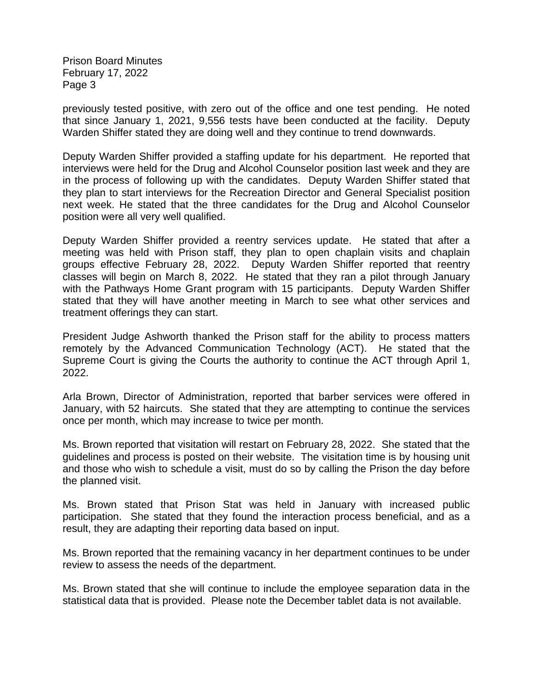previously tested positive, with zero out of the office and one test pending. He noted that since January 1, 2021, 9,556 tests have been conducted at the facility. Deputy Warden Shiffer stated they are doing well and they continue to trend downwards.

Deputy Warden Shiffer provided a staffing update for his department. He reported that interviews were held for the Drug and Alcohol Counselor position last week and they are in the process of following up with the candidates. Deputy Warden Shiffer stated that they plan to start interviews for the Recreation Director and General Specialist position next week. He stated that the three candidates for the Drug and Alcohol Counselor position were all very well qualified.

Deputy Warden Shiffer provided a reentry services update. He stated that after a meeting was held with Prison staff, they plan to open chaplain visits and chaplain groups effective February 28, 2022. Deputy Warden Shiffer reported that reentry classes will begin on March 8, 2022. He stated that they ran a pilot through January with the Pathways Home Grant program with 15 participants. Deputy Warden Shiffer stated that they will have another meeting in March to see what other services and treatment offerings they can start.

President Judge Ashworth thanked the Prison staff for the ability to process matters remotely by the Advanced Communication Technology (ACT). He stated that the Supreme Court is giving the Courts the authority to continue the ACT through April 1, 2022.

Arla Brown, Director of Administration, reported that barber services were offered in January, with 52 haircuts. She stated that they are attempting to continue the services once per month, which may increase to twice per month.

Ms. Brown reported that visitation will restart on February 28, 2022. She stated that the guidelines and process is posted on their website. The visitation time is by housing unit and those who wish to schedule a visit, must do so by calling the Prison the day before the planned visit.

Ms. Brown stated that Prison Stat was held in January with increased public participation. She stated that they found the interaction process beneficial, and as a result, they are adapting their reporting data based on input.

Ms. Brown reported that the remaining vacancy in her department continues to be under review to assess the needs of the department.

Ms. Brown stated that she will continue to include the employee separation data in the statistical data that is provided. Please note the December tablet data is not available.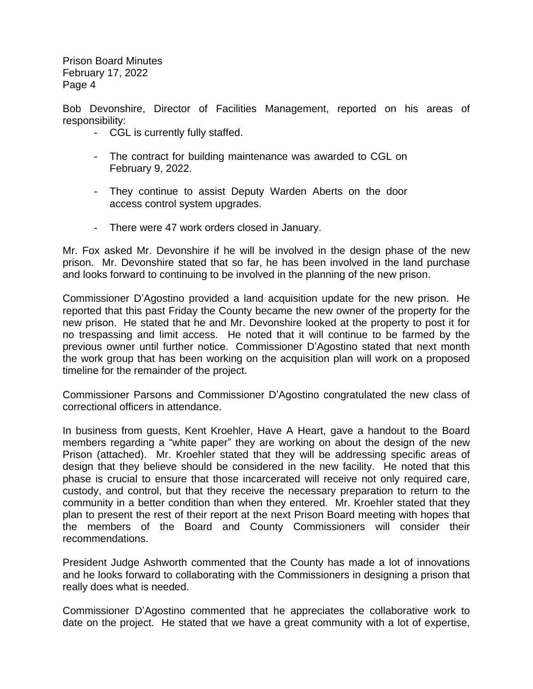Bob Devonshire, Director of Facilities Management, reported on his areas of responsibility:

- CGL is currently fully staffed.
- The contract for building maintenance was awarded to CGL on February 9, 2022.
- They continue to assist Deputy Warden Aberts on the door access control system upgrades.
- There were 47 work orders closed in January.

Mr. Fox asked Mr. Devonshire if he will be involved in the design phase of the new prison. Mr. Devonshire stated that so far, he has been involved in the land purchase and looks forward to continuing to be involved in the planning of the new prison.

Commissioner D'Agostino provided a land acquisition update for the new prison. He reported that this past Friday the County became the new owner of the property for the new prison. He stated that he and Mr. Devonshire looked at the property to post it for no trespassing and limit access. He noted that it will continue to be farmed by the previous owner until further notice. Commissioner D'Agostino stated that next month the work group that has been working on the acquisition plan will work on a proposed timeline for the remainder of the project.

Commissioner Parsons and Commissioner D'Agostino congratulated the new class of correctional officers in attendance.

In business from guests, Kent Kroehler, Have A Heart, gave a handout to the Board members regarding a "white paper" they are working on about the design of the new Prison (attached). Mr. Kroehler stated that they will be addressing specific areas of design that they believe should be considered in the new facility. He noted that this phase is crucial to ensure that those incarcerated will receive not only required care, custody, and control, but that they receive the necessary preparation to return to the community in a better condition than when they entered. Mr. Kroehler stated that they plan to present the rest of their report at the next Prison Board meeting with hopes that the members of the Board and County Commissioners will consider their recommendations.

President Judge Ashworth commented that the County has made a lot of innovations and he looks forward to collaborating with the Commissioners in designing a prison that really does what is needed.

Commissioner D'Agostino commented that he appreciates the collaborative work to date on the project. He stated that we have a great community with a lot of expertise,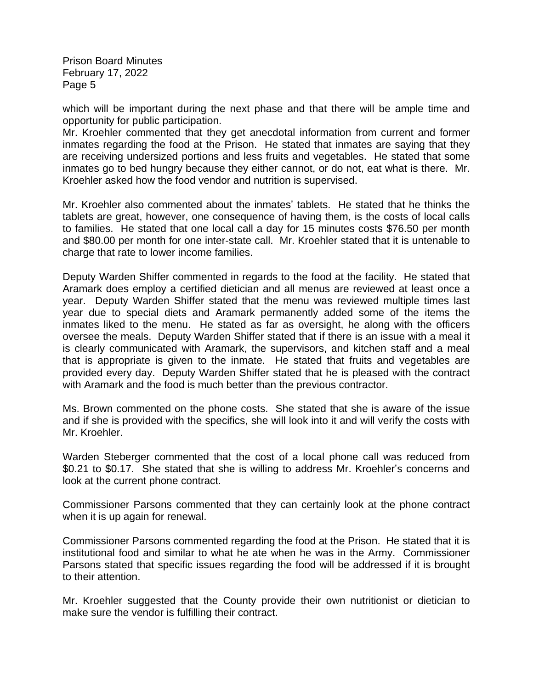which will be important during the next phase and that there will be ample time and opportunity for public participation.

Mr. Kroehler commented that they get anecdotal information from current and former inmates regarding the food at the Prison. He stated that inmates are saying that they are receiving undersized portions and less fruits and vegetables. He stated that some inmates go to bed hungry because they either cannot, or do not, eat what is there. Mr. Kroehler asked how the food vendor and nutrition is supervised.

Mr. Kroehler also commented about the inmates' tablets. He stated that he thinks the tablets are great, however, one consequence of having them, is the costs of local calls to families. He stated that one local call a day for 15 minutes costs \$76.50 per month and \$80.00 per month for one inter-state call. Mr. Kroehler stated that it is untenable to charge that rate to lower income families.

Deputy Warden Shiffer commented in regards to the food at the facility. He stated that Aramark does employ a certified dietician and all menus are reviewed at least once a year. Deputy Warden Shiffer stated that the menu was reviewed multiple times last year due to special diets and Aramark permanently added some of the items the inmates liked to the menu. He stated as far as oversight, he along with the officers oversee the meals. Deputy Warden Shiffer stated that if there is an issue with a meal it is clearly communicated with Aramark, the supervisors, and kitchen staff and a meal that is appropriate is given to the inmate. He stated that fruits and vegetables are provided every day. Deputy Warden Shiffer stated that he is pleased with the contract with Aramark and the food is much better than the previous contractor.

Ms. Brown commented on the phone costs. She stated that she is aware of the issue and if she is provided with the specifics, she will look into it and will verify the costs with Mr. Kroehler.

Warden Steberger commented that the cost of a local phone call was reduced from \$0.21 to \$0.17. She stated that she is willing to address Mr. Kroehler's concerns and look at the current phone contract.

Commissioner Parsons commented that they can certainly look at the phone contract when it is up again for renewal.

Commissioner Parsons commented regarding the food at the Prison. He stated that it is institutional food and similar to what he ate when he was in the Army. Commissioner Parsons stated that specific issues regarding the food will be addressed if it is brought to their attention.

Mr. Kroehler suggested that the County provide their own nutritionist or dietician to make sure the vendor is fulfilling their contract.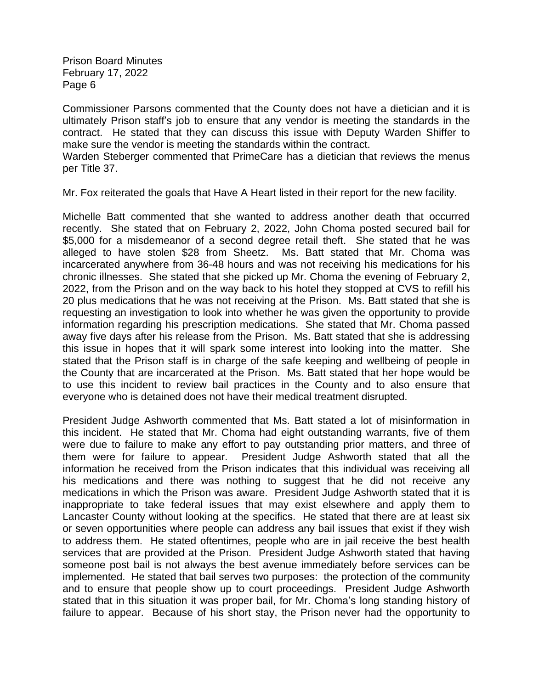Commissioner Parsons commented that the County does not have a dietician and it is ultimately Prison staff's job to ensure that any vendor is meeting the standards in the contract. He stated that they can discuss this issue with Deputy Warden Shiffer to make sure the vendor is meeting the standards within the contract.

Warden Steberger commented that PrimeCare has a dietician that reviews the menus per Title 37.

Mr. Fox reiterated the goals that Have A Heart listed in their report for the new facility.

Michelle Batt commented that she wanted to address another death that occurred recently. She stated that on February 2, 2022, John Choma posted secured bail for \$5,000 for a misdemeanor of a second degree retail theft. She stated that he was alleged to have stolen \$28 from Sheetz. Ms. Batt stated that Mr. Choma was incarcerated anywhere from 36-48 hours and was not receiving his medications for his chronic illnesses. She stated that she picked up Mr. Choma the evening of February 2, 2022, from the Prison and on the way back to his hotel they stopped at CVS to refill his 20 plus medications that he was not receiving at the Prison. Ms. Batt stated that she is requesting an investigation to look into whether he was given the opportunity to provide information regarding his prescription medications. She stated that Mr. Choma passed away five days after his release from the Prison. Ms. Batt stated that she is addressing this issue in hopes that it will spark some interest into looking into the matter. She stated that the Prison staff is in charge of the safe keeping and wellbeing of people in the County that are incarcerated at the Prison. Ms. Batt stated that her hope would be to use this incident to review bail practices in the County and to also ensure that everyone who is detained does not have their medical treatment disrupted.

President Judge Ashworth commented that Ms. Batt stated a lot of misinformation in this incident. He stated that Mr. Choma had eight outstanding warrants, five of them were due to failure to make any effort to pay outstanding prior matters, and three of them were for failure to appear. President Judge Ashworth stated that all the information he received from the Prison indicates that this individual was receiving all his medications and there was nothing to suggest that he did not receive any medications in which the Prison was aware. President Judge Ashworth stated that it is inappropriate to take federal issues that may exist elsewhere and apply them to Lancaster County without looking at the specifics. He stated that there are at least six or seven opportunities where people can address any bail issues that exist if they wish to address them. He stated oftentimes, people who are in jail receive the best health services that are provided at the Prison. President Judge Ashworth stated that having someone post bail is not always the best avenue immediately before services can be implemented. He stated that bail serves two purposes: the protection of the community and to ensure that people show up to court proceedings. President Judge Ashworth stated that in this situation it was proper bail, for Mr. Choma's long standing history of failure to appear. Because of his short stay, the Prison never had the opportunity to